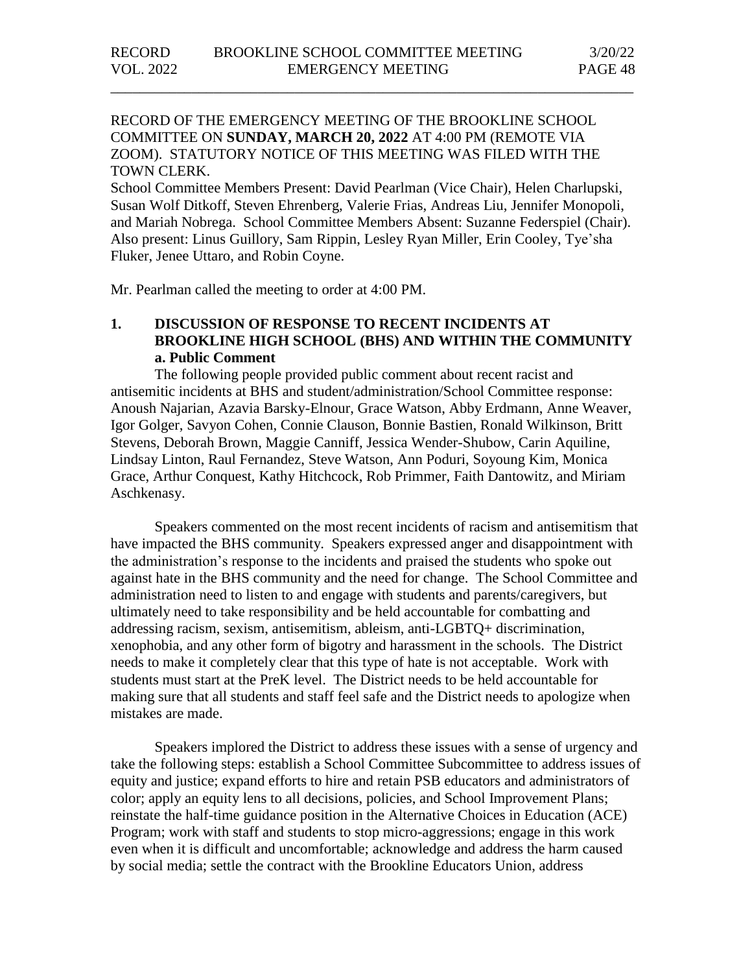## RECORD OF THE EMERGENCY MEETING OF THE BROOKLINE SCHOOL COMMITTEE ON **SUNDAY, MARCH 20, 2022** AT 4:00 PM (REMOTE VIA ZOOM). STATUTORY NOTICE OF THIS MEETING WAS FILED WITH THE TOWN CLERK.

\_\_\_\_\_\_\_\_\_\_\_\_\_\_\_\_\_\_\_\_\_\_\_\_\_\_\_\_\_\_\_\_\_\_\_\_\_\_\_\_\_\_\_\_\_\_\_\_\_\_\_\_\_\_\_\_\_\_\_\_\_\_\_\_\_\_\_\_\_\_\_

School Committee Members Present: David Pearlman (Vice Chair), Helen Charlupski, Susan Wolf Ditkoff, Steven Ehrenberg, Valerie Frias, Andreas Liu, Jennifer Monopoli, and Mariah Nobrega. School Committee Members Absent: Suzanne Federspiel (Chair). Also present: Linus Guillory, Sam Rippin, Lesley Ryan Miller, Erin Cooley, Tye'sha Fluker, Jenee Uttaro, and Robin Coyne.

Mr. Pearlman called the meeting to order at 4:00 PM.

## **1. DISCUSSION OF RESPONSE TO RECENT INCIDENTS AT BROOKLINE HIGH SCHOOL (BHS) AND WITHIN THE COMMUNITY a. Public Comment**

The following people provided public comment about recent racist and antisemitic incidents at BHS and student/administration/School Committee response: Anoush Najarian, Azavia Barsky-Elnour, Grace Watson, Abby Erdmann, Anne Weaver, Igor Golger, Savyon Cohen, Connie Clauson, Bonnie Bastien, Ronald Wilkinson, Britt Stevens, Deborah Brown, Maggie Canniff, Jessica Wender-Shubow, Carin Aquiline, Lindsay Linton, Raul Fernandez, Steve Watson, Ann Poduri, Soyoung Kim, Monica Grace, Arthur Conquest, Kathy Hitchcock, Rob Primmer, Faith Dantowitz, and Miriam Aschkenasy.

Speakers commented on the most recent incidents of racism and antisemitism that have impacted the BHS community. Speakers expressed anger and disappointment with the administration's response to the incidents and praised the students who spoke out against hate in the BHS community and the need for change. The School Committee and administration need to listen to and engage with students and parents/caregivers, but ultimately need to take responsibility and be held accountable for combatting and addressing racism, sexism, antisemitism, ableism, anti-LGBTQ+ discrimination, xenophobia, and any other form of bigotry and harassment in the schools. The District needs to make it completely clear that this type of hate is not acceptable. Work with students must start at the PreK level. The District needs to be held accountable for making sure that all students and staff feel safe and the District needs to apologize when mistakes are made.

Speakers implored the District to address these issues with a sense of urgency and take the following steps: establish a School Committee Subcommittee to address issues of equity and justice; expand efforts to hire and retain PSB educators and administrators of color; apply an equity lens to all decisions, policies, and School Improvement Plans; reinstate the half-time guidance position in the Alternative Choices in Education (ACE) Program; work with staff and students to stop micro-aggressions; engage in this work even when it is difficult and uncomfortable; acknowledge and address the harm caused by social media; settle the contract with the Brookline Educators Union, address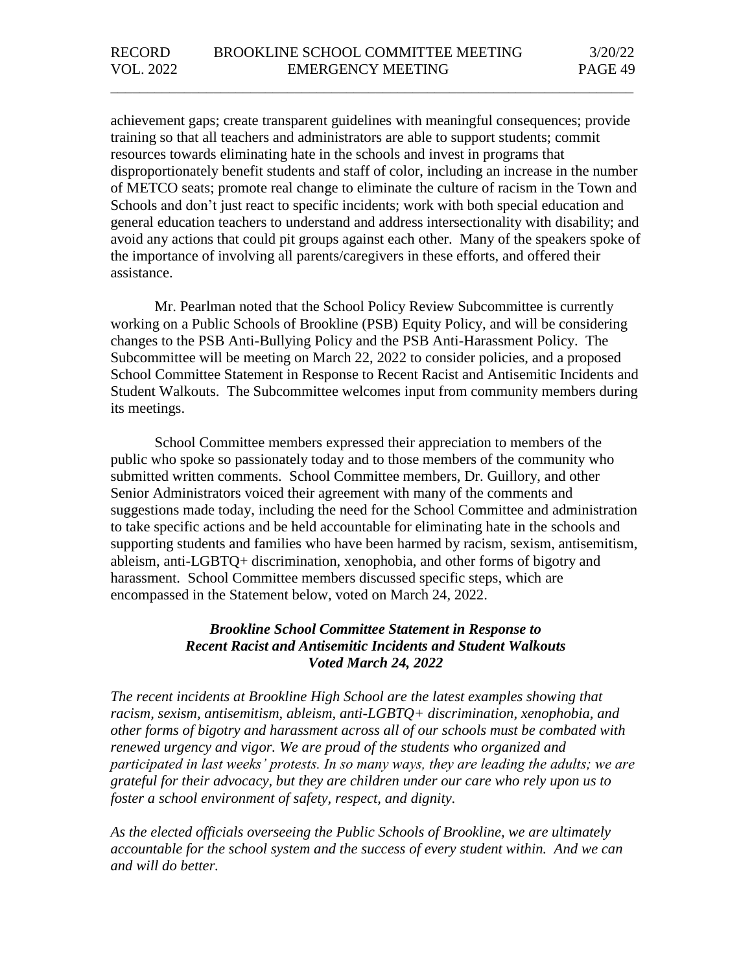achievement gaps; create transparent guidelines with meaningful consequences; provide training so that all teachers and administrators are able to support students; commit resources towards eliminating hate in the schools and invest in programs that disproportionately benefit students and staff of color, including an increase in the number of METCO seats; promote real change to eliminate the culture of racism in the Town and Schools and don't just react to specific incidents; work with both special education and general education teachers to understand and address intersectionality with disability; and avoid any actions that could pit groups against each other. Many of the speakers spoke of the importance of involving all parents/caregivers in these efforts, and offered their assistance.

\_\_\_\_\_\_\_\_\_\_\_\_\_\_\_\_\_\_\_\_\_\_\_\_\_\_\_\_\_\_\_\_\_\_\_\_\_\_\_\_\_\_\_\_\_\_\_\_\_\_\_\_\_\_\_\_\_\_\_\_\_\_\_\_\_\_\_\_\_\_\_

Mr. Pearlman noted that the School Policy Review Subcommittee is currently working on a Public Schools of Brookline (PSB) Equity Policy, and will be considering changes to the PSB Anti-Bullying Policy and the PSB Anti-Harassment Policy. The Subcommittee will be meeting on March 22, 2022 to consider policies, and a proposed School Committee Statement in Response to Recent Racist and Antisemitic Incidents and Student Walkouts. The Subcommittee welcomes input from community members during its meetings.

School Committee members expressed their appreciation to members of the public who spoke so passionately today and to those members of the community who submitted written comments. School Committee members, Dr. Guillory, and other Senior Administrators voiced their agreement with many of the comments and suggestions made today, including the need for the School Committee and administration to take specific actions and be held accountable for eliminating hate in the schools and supporting students and families who have been harmed by racism, sexism, antisemitism, ableism, anti-LGBTQ+ discrimination, xenophobia, and other forms of bigotry and harassment. School Committee members discussed specific steps, which are encompassed in the Statement below, voted on March 24, 2022.

## *Brookline School Committee Statement in Response to Recent Racist and Antisemitic Incidents and Student Walkouts Voted March 24, 2022*

*The recent incidents at Brookline High School are the latest examples showing that racism, sexism, antisemitism, ableism, anti-LGBTQ+ discrimination, xenophobia, and other forms of bigotry and harassment across all of our schools must be combated with renewed urgency and vigor. We are proud of the students who organized and participated in last weeks' protests. In so many ways, they are leading the adults; we are grateful for their advocacy, but they are children under our care who rely upon us to foster a school environment of safety, respect, and dignity.*

*As the elected officials overseeing the Public Schools of Brookline, we are ultimately accountable for the school system and the success of every student within. And we can and will do better.*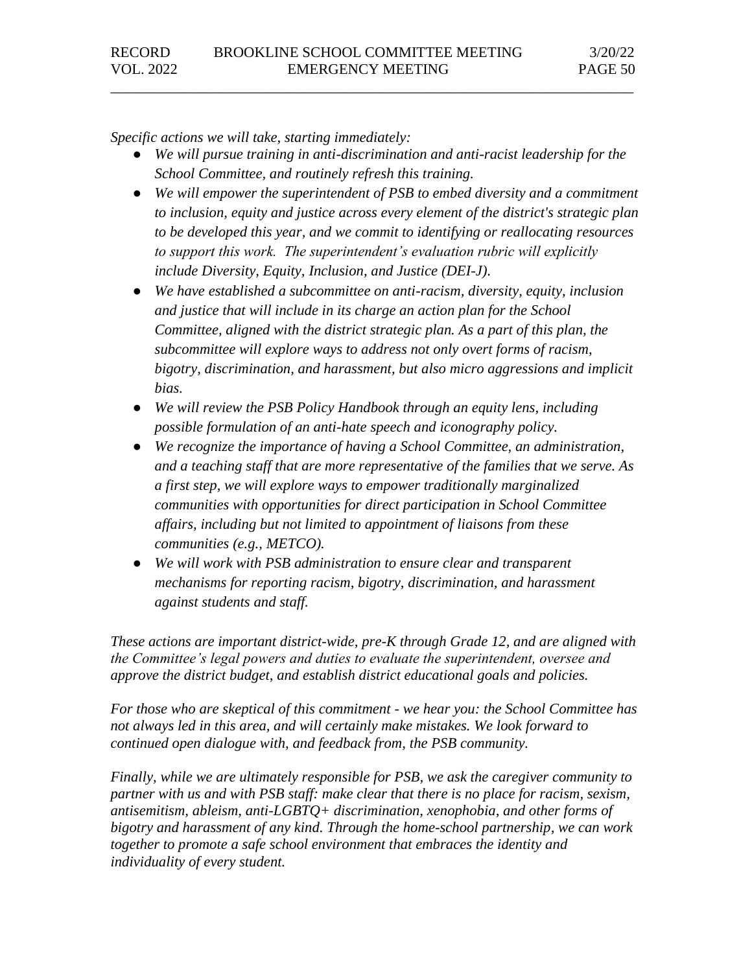*Specific actions we will take, starting immediately:*

● *We will pursue training in anti-discrimination and anti-racist leadership for the School Committee, and routinely refresh this training.* 

\_\_\_\_\_\_\_\_\_\_\_\_\_\_\_\_\_\_\_\_\_\_\_\_\_\_\_\_\_\_\_\_\_\_\_\_\_\_\_\_\_\_\_\_\_\_\_\_\_\_\_\_\_\_\_\_\_\_\_\_\_\_\_\_\_\_\_\_\_\_\_

- *We will empower the superintendent of PSB to embed diversity and a commitment to inclusion, equity and justice across every element of the district's strategic plan to be developed this year, and we commit to identifying or reallocating resources to support this work. The superintendent's evaluation rubric will explicitly include Diversity, Equity, Inclusion, and Justice (DEI-J).*
- *We have established a subcommittee on anti-racism, diversity, equity, inclusion and justice that will include in its charge an action plan for the School Committee, aligned with the district strategic plan. As a part of this plan, the subcommittee will explore ways to address not only overt forms of racism, bigotry, discrimination, and harassment, but also micro aggressions and implicit bias.*
- *We will review the PSB Policy Handbook through an equity lens, including possible formulation of an anti-hate speech and iconography policy.*
- *We recognize the importance of having a School Committee, an administration, and a teaching staff that are more representative of the families that we serve. As a first step, we will explore ways to empower traditionally marginalized communities with opportunities for direct participation in School Committee affairs, including but not limited to appointment of liaisons from these communities (e.g., METCO).*
- *We will work with PSB administration to ensure clear and transparent mechanisms for reporting racism, bigotry, discrimination, and harassment against students and staff.*

*These actions are important district-wide, pre-K through Grade 12, and are aligned with the Committee's legal powers and duties to evaluate the superintendent, oversee and approve the district budget, and establish district educational goals and policies.* 

*For those who are skeptical of this commitment - we hear you: the School Committee has not always led in this area, and will certainly make mistakes. We look forward to continued open dialogue with, and feedback from, the PSB community.* 

*Finally, while we are ultimately responsible for PSB, we ask the caregiver community to partner with us and with PSB staff: make clear that there is no place for racism, sexism, antisemitism, ableism, anti-LGBTQ+ discrimination, xenophobia, and other forms of bigotry and harassment of any kind. Through the home-school partnership, we can work together to promote a safe school environment that embraces the identity and individuality of every student.*